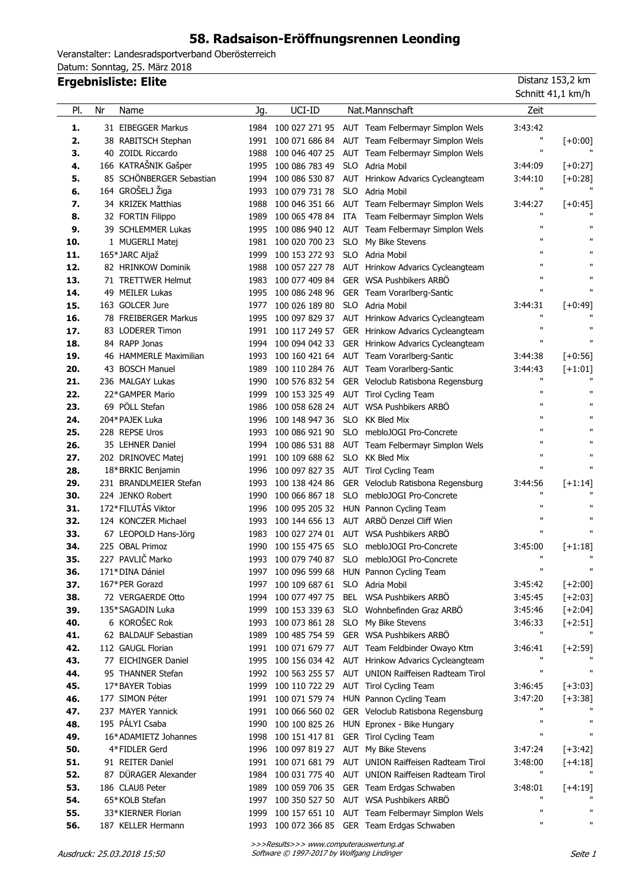# **58. Radsaison-Eröffnungsrennen Leonding**

Veranstalter: Landesradsportverband Oberösterreich Datum: Sonntag, 25. März 2018

### **Ergebnisliste: Elite** Distanz 153,2 km

 $\overline{a}$ 

| PI. | Nr | Name                     | Jg.  | UCI-ID                              |            | Nat. Mannschaft                                  | Zeit         |              |
|-----|----|--------------------------|------|-------------------------------------|------------|--------------------------------------------------|--------------|--------------|
| 1.  |    | 31 EIBEGGER Markus       | 1984 |                                     |            | 100 027 271 95 AUT Team Felbermayr Simplon Wels  | 3:43:42      |              |
| 2.  |    | 38 RABITSCH Stephan      | 1991 |                                     |            | 100 071 686 84 AUT Team Felbermayr Simplon Wels  | п            | $[+0:00]$    |
| 3.  |    | 40 ZOIDL Riccardo        | 1988 | 100 046 407 25                      |            | AUT Team Felbermayr Simplon Wels                 | п            |              |
| 4.  |    | 166 KATRAŠNIK Gašper     | 1995 | 100 086 783 49                      |            | SLO Adria Mobil                                  | 3:44:09      | $[-0:27]$    |
| 5.  |    | 85 SCHÖNBERGER Sebastian | 1994 |                                     |            | 100 086 530 87 AUT Hrinkow Advarics Cycleangteam | 3:44:10      | $[-0:28]$    |
| 6.  |    | 164 GROŠELJ Žiga         | 1993 | 100 079 731 78                      | <b>SLO</b> | Adria Mobil                                      | п            |              |
| 7.  |    | 34 KRIZEK Matthias       | 1988 | 100 046 351 66                      |            | AUT Team Felbermayr Simplon Wels                 | 3:44:27      | $[-10:45]$   |
| 8.  |    | 32 FORTIN Filippo        | 1989 |                                     |            | 100 065 478 84 ITA Team Felbermayr Simplon Wels  | $\mathbf{H}$ |              |
| 9.  |    | 39 SCHLEMMER Lukas       | 1995 |                                     |            | 100 086 940 12 AUT Team Felbermayr Simplon Wels  | п            | п            |
| 10. |    | 1 MUGERLI Matej          | 1981 |                                     |            | 100 020 700 23 SLO My Bike Stevens               | $\mathbf{u}$ | $\mathbf{u}$ |
| 11. |    | 165*JARC Aljaž           | 1999 | 100 153 272 93 SLO Adria Mobil      |            |                                                  | $\mathbf{u}$ | $\mathbf{u}$ |
| 12. |    | 82 HRINKOW Dominik       | 1988 |                                     |            | 100 057 227 78 AUT Hrinkow Advarics Cycleangteam | $\mathbf{u}$ | п            |
| 13. |    | 71 TRETTWER Helmut       | 1983 |                                     |            | 100 077 409 84 GER WSA Pushbikers ARBÖ           | $\mathbf{u}$ | п            |
| 14. |    | 49 MEILER Lukas          | 1995 | 100 086 248 96                      |            | GER Team Vorarlberg-Santic                       | $\mathbf{u}$ | п            |
| 15. |    | 163 GOLCER Jure          | 1977 | 100 026 189 80                      |            | SLO Adria Mobil                                  | 3:44:31      | $[-0:49]$    |
| 16. |    | 78 FREIBERGER Markus     | 1995 |                                     |            | 100 097 829 37 AUT Hrinkow Advarics Cycleangteam | п            | $\mathbf{u}$ |
| 17. |    | 83 LODERER Timon         | 1991 |                                     |            | 100 117 249 57 GER Hrinkow Advarics Cycleangteam | $\mathbf{H}$ | $\mathbf{H}$ |
| 18. |    | 84 RAPP Jonas            | 1994 |                                     |            | 100 094 042 33 GER Hrinkow Advarics Cycleangteam | $\mathbf{H}$ | п            |
| 19. |    | 46 HAMMERLE Maximilian   | 1993 |                                     |            | 100 160 421 64 AUT Team Vorarlberg-Santic        | 3:44:38      | $[-10:56]$   |
| 20. |    | 43 BOSCH Manuel          | 1989 |                                     |            | 100 110 284 76 AUT Team Vorarlberg-Santic        | 3:44:43      | $[+1:01]$    |
| 21. |    | 236 MALGAY Lukas         | 1990 |                                     |            | 100 576 832 54 GER Veloclub Ratisbona Regensburg | п            | $\mathbf{u}$ |
| 22. |    | 22*GAMPER Mario          | 1999 |                                     |            | 100 153 325 49 AUT Tirol Cycling Team            | п            | $\mathbf{H}$ |
| 23. |    | 69 PÖLL Stefan           | 1986 |                                     |            | 100 058 628 24 AUT WSA Pushbikers ARBÖ           | $\mathbf{u}$ | $\mathbf{u}$ |
| 24. |    | 204*PAJEK Luka           | 1996 | 100 148 947 36                      | SLO        | <b>KK Bled Mix</b>                               | $\mathbf{u}$ | $\mathbf{u}$ |
| 25. |    | 228 REPSE Uros           | 1993 | 100 086 921 90                      |            | SLO mebloJOGI Pro-Concrete                       | $\mathbf{u}$ | $\mathbf{u}$ |
| 26. |    | 35 LEHNER Daniel         | 1994 |                                     |            | 100 086 531 88 AUT Team Felbermayr Simplon Wels  | $\mathbf{u}$ | п            |
| 27. |    | 202 DRINOVEC Matej       |      | 1991 100 109 688 62 SLO KK Bled Mix |            |                                                  | $\mathbf{u}$ | п            |
| 28. |    | 18*BRKIC Benjamin        | 1996 |                                     |            | 100 097 827 35 AUT Tirol Cycling Team            | $\mathbf{H}$ | H.           |
| 29. |    | 231 BRANDLMEIER Stefan   | 1993 | 100 138 424 86                      |            | GER Veloclub Ratisbona Regensburg                | 3:44:56      | $[-1:14]$    |
| 30. |    | 224 JENKO Robert         | 1990 | 100 066 867 18                      |            | SLO mebloJOGI Pro-Concrete                       | п            | $\mathbf{u}$ |
| 31. |    | 172*FILUTÁS Viktor       | 1996 |                                     |            | 100 095 205 32 HUN Pannon Cycling Team           | $\mathbf{H}$ | $\mathbf{u}$ |
| 32. |    | 124 KONCZER Michael      | 1993 | 100 144 656 13                      |            | AUT ARBÖ Denzel Cliff Wien                       | п            | п            |
| 33. |    | 67 LEOPOLD Hans-Jörg     | 1983 |                                     |            | 100 027 274 01 AUT WSA Pushbikers ARBÖ           | $\mathbf{H}$ | п            |
| 34. |    | 225 OBAL Primoz          | 1990 | 100 155 475 65                      |            | SLO mebloJOGI Pro-Concrete                       | 3:45:00      | $[-1:18]$    |
| 35. |    | 227 PAVLIČ Marko         | 1993 |                                     |            | 100 079 740 87 SLO mebloJOGI Pro-Concrete        | $\mathbf{u}$ | $\mathbf{u}$ |
| 36. |    | 171*DINA Dániel          | 1997 | 100 096 599 68                      |            | HUN Pannon Cycling Team                          | $\mathbf{H}$ | п            |
| 37. |    | 167*PER Gorazd           |      | 1997 100 109 687 61 SLO Adria Mobil |            |                                                  | 3:45:42      | $[+2:00]$    |
| 38. |    | 72 VERGAERDE Otto        | 1994 |                                     |            | 100 077 497 75 BEL WSA Pushbikers ARBÖ           | 3:45:45      | $[+2:03]$    |
| 39. |    | 135*SAGADIN Luka         | 1999 | 100 153 339 63                      |            | SLO Wohnbefinden Graz ARBÖ                       | 3:45:46      | $[+2:04]$    |
| 40. |    | 6 KOROŠEC Rok            | 1993 | 100 073 861 28                      |            | SLO My Bike Stevens                              | 3:46:33      | $[+2:51]$    |
| 41. |    | 62 BALDAUF Sebastian     | 1989 | 100 485 754 59                      |            | GER WSA Pushbikers ARBO                          | $\mathbf{u}$ | п            |
| 42. |    | 112 GAUGL Florian        | 1991 | 100 071 679 77                      |            | AUT Team Feldbinder Owayo Ktm                    | 3:46:41      | $[+2:59]$    |
| 43. |    | 77 EICHINGER Daniel      | 1995 |                                     |            | 100 156 034 42 AUT Hrinkow Advarics Cycleangteam | п            |              |
| 44. |    | 95 THANNER Stefan        | 1992 | 100 563 255 57                      |            | AUT UNION Raiffeisen Radteam Tirol               | $\mathbf{H}$ | п            |
| 45. |    | 17*BAYER Tobias          | 1999 | 100 110 722 29                      |            | AUT Tirol Cycling Team                           | 3:46:45      | $[+3:03]$    |
| 46. |    | 177 SIMON Péter          | 1991 |                                     |            | 100 071 579 74 HUN Pannon Cycling Team           | 3:47:20      | $[-3:38]$    |
| 47. |    | 237 MAYER Yannick        | 1991 | 100 066 560 02                      |            | GER Veloclub Ratisbona Regensburg                | п            | $\mathbf{u}$ |
| 48. |    | 195 PÁLYI Csaba          | 1990 | 100 100 825 26                      |            | HUN Epronex - Bike Hungary                       | $\mathbf{H}$ | п            |
| 49. |    | 16*ADAMIETZ Johannes     | 1998 | 100 151 417 81                      |            | GER Tirol Cycling Team                           | $\mathbf{H}$ | $\mathbf{H}$ |
| 50. |    | 4*FIDLER Gerd            | 1996 | 100 097 819 27                      |            | AUT My Bike Stevens                              | 3:47:24      | $[-3:42]$    |
| 51. |    | 91 REITER Daniel         | 1991 | 100 071 681 79                      |            | AUT UNION Raiffeisen Radteam Tirol               | 3:48:00      | $[+4:18]$    |
| 52. |    | 87 DÜRAGER Alexander     | 1984 | 100 031 775 40                      |            | AUT UNION Raiffeisen Radteam Tirol               | $\mathbf{u}$ | $\mathbf{H}$ |
| 53. |    | 186 CLAUß Peter          | 1989 | 100 059 706 35                      |            | GER Team Erdgas Schwaben                         | 3:48:01      | $[-4:19]$    |
| 54. |    | 65*KOLB Stefan           | 1997 | 100 350 527 50                      |            | AUT WSA Pushbikers ARBÖ                          | п            |              |
| 55. |    | 33*KIERNER Florian       | 1999 | 100 157 651 10                      |            | AUT Team Felbermayr Simplon Wels                 | $\mathbf{H}$ | $\mathbf{H}$ |
| 56. |    | 187 KELLER Hermann       | 1993 |                                     |            | 100 072 366 85 GER Team Erdgas Schwaben          | $\mathbf{H}$ | п            |

Schnitt 41,1 km/h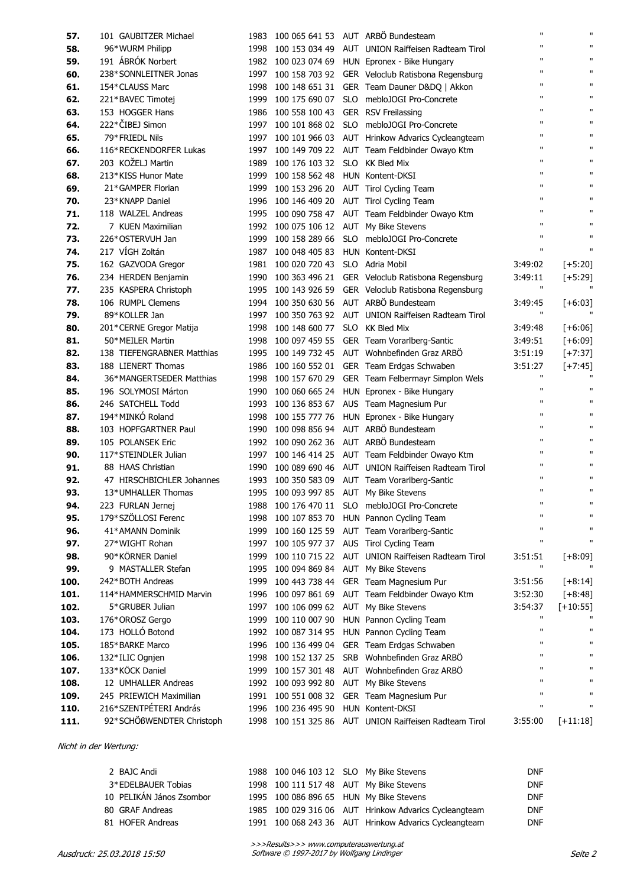| 57.          | 101 GAUBITZER Michael                          | 1983 | 100 065 641 53                          |            | AUT ARBÖ Bundesteam                                                                    | п                            | п                 |
|--------------|------------------------------------------------|------|-----------------------------------------|------------|----------------------------------------------------------------------------------------|------------------------------|-------------------|
| 58.          | 96*WURM Philipp                                | 1998 | 100 153 034 49                          |            | AUT UNION Raiffeisen Radteam Tirol                                                     | $\mathbf{u}$                 | $\mathbf{H}$      |
| 59.          | 191 ÁBRÓK Norbert                              | 1982 | 100 023 074 69                          |            | HUN Epronex - Bike Hungary                                                             | $\mathbf{u}$                 | $\mathbf{H}$      |
| 60.          | 238*SONNLEITNER Jonas                          | 1997 | 100 158 703 92                          |            | GER Veloclub Ratisbona Regensburg                                                      | п                            | $\mathbf{H}$      |
| 61.          | 154*CLAUSS Marc                                | 1998 | 100 148 651 31                          |            | GER Team Dauner D&DQ   Akkon                                                           | п                            | $\mathbf{H}$      |
| 62.          | 221*BAVEC Timotej                              | 1999 | 100 175 690 07                          | <b>SLO</b> | mebloJOGI Pro-Concrete                                                                 | п                            | $\mathbf{H}$      |
| 63.          | 153 HOGGER Hans                                | 1986 | 100 558 100 43                          |            | GER RSV Freilassing                                                                    | п                            | $\mathbf{H}$      |
| 64.          | 222*ČIBEJ Simon                                | 1997 | 100 101 868 02                          | SLO        | mebloJOGI Pro-Concrete                                                                 | $\mathbf{u}$                 | $\mathbf{H}$      |
| 65.          | 79*FRIEDL Nils                                 | 1997 | 100 101 966 03                          |            | AUT Hrinkow Advarics Cycleangteam                                                      | $\mathbf{u}$                 | $\mathbf{H}$      |
| 66.          | 116*RECKENDORFER Lukas                         | 1997 |                                         |            | 100 149 709 22 AUT Team Feldbinder Owayo Ktm                                           | $\mathbf{u}$                 | $\mathbf{H}$      |
| 67.          | 203 KOŽELJ Martin                              | 1989 | 100 176 103 32                          | <b>SLO</b> | <b>KK Bled Mix</b>                                                                     | $\mathbf{u}$                 | $\mathbf{H}$      |
| 68.          | 213*KISS Hunor Mate                            | 1999 | 100 158 562 48                          |            | HUN Kontent-DKSI                                                                       | $\mathbf{u}$                 | $\mathbf{H}$      |
| 69.          | 21*GAMPER Florian                              | 1999 | 100 153 296 20                          |            | AUT Tirol Cycling Team                                                                 | $\mathbf{u}$                 | $\mathbf{H}$      |
| 70.          | 23*KNAPP Daniel                                | 1996 | 100 146 409 20                          |            | AUT Tirol Cycling Team                                                                 | $\mathbf{u}$                 | $\mathbf{H}$      |
| 71.          | 118 WALZEL Andreas                             | 1995 | 100 090 758 47                          |            | AUT Team Feldbinder Owayo Ktm                                                          | $\mathbf{u}$                 | $\mathbf{H}$      |
| 72.          | 7 KUEN Maximilian                              | 1992 | 100 075 106 12                          |            | AUT My Bike Stevens                                                                    | $\mathbf{u}$                 | $\mathbf{H}$      |
| 73.          | 226*OSTERVUH Jan                               | 1999 | 100 158 289 66                          |            | SLO mebloJOGI Pro-Concrete                                                             | $\mathbf{u}$                 | п                 |
| 74.          | 217 VÍGH Zoltán                                | 1987 | 100 048 405 83                          |            | HUN Kontent-DKSI                                                                       | $\mathbf{u}$                 | п                 |
| 75.          | 162 GAZVODA Gregor                             | 1981 | 100 020 720 43                          |            | SLO Adria Mobil                                                                        | 3:49:02                      | $[-5:20]$         |
| 76.          | 234 HERDEN Benjamin                            | 1990 |                                         |            | 100 363 496 21 GER Veloclub Ratisbona Regensburg                                       | 3:49:11                      | $[-5:29]$         |
| 77.          | 235 KASPERA Christoph                          | 1995 | 100 143 926 59                          |            | GER Veloclub Ratisbona Regensburg                                                      | п                            |                   |
| 78.          | 106 RUMPL Clemens                              | 1994 |                                         |            | 100 350 630 56 AUT ARBÖ Bundesteam                                                     | 3:49:45                      | $[+6:03]$         |
| 79.          | 89*KOLLER Jan                                  | 1997 |                                         |            | 100 350 763 92 AUT UNION Raiffeisen Radteam Tirol                                      | П                            |                   |
| 80.          | 201*CERNE Gregor Matija                        | 1998 | 100 148 600 77                          |            | SLO KK Bled Mix                                                                        | 3:49:48                      | $[+6:06]$         |
| 81.          | 50*MEILER Martin                               | 1998 |                                         |            | 100 097 459 55 GER Team Vorarlberg-Santic                                              | 3:49:51                      | $[+6:09]$         |
| 82.          | 138 TIEFENGRABNER Matthias                     | 1995 |                                         |            | 100 149 732 45 AUT Wohnbefinden Graz ARBÖ                                              | 3:51:19                      | $[+7:37]$         |
| 83.          | 188 LIENERT Thomas                             | 1986 |                                         |            | 100 160 552 01 GER Team Erdgas Schwaben                                                | 3:51:27                      | $[+7:45]$         |
| 84.          | 36*MANGERTSEDER Matthias                       | 1998 |                                         |            | 100 157 670 29 GER Team Felbermayr Simplon Wels                                        | Ħ                            |                   |
| 85.          | 196 SOLYMOSI Márton                            | 1990 |                                         |            | 100 060 665 24 HUN Epronex - Bike Hungary                                              | п                            | п                 |
| 86.          | 246 SATCHELL Todd                              | 1993 |                                         |            | 100 136 853 67 AUS Team Magnesium Pur                                                  | $\mathbf{u}$                 | $\mathbf{H}$      |
| 87.          | 194*MINKÓ Roland                               | 1998 |                                         |            | 100 155 777 76 HUN Epronex - Bike Hungary                                              | $\mathbf{u}$                 | $\mathbf{H}$      |
| 88.          | 103 HOPFGARTNER Paul                           | 1990 |                                         |            | 100 098 856 94 AUT ARBÖ Bundesteam                                                     | $\mathbf{u}$                 | п                 |
| 89.          | 105 POLANSEK Eric                              | 1992 |                                         |            | 100 090 262 36 AUT ARBÖ Bundesteam                                                     | п                            | $\mathbf{H}$      |
| 90.          | 117*STEINDLER Julian                           | 1997 |                                         |            | 100 146 414 25 AUT Team Feldbinder Owayo Ktm                                           | п                            | $\mathbf{H}$      |
| 91.          | 88 HAAS Christian                              | 1990 |                                         |            | 100 089 690 46 AUT UNION Raiffeisen Radteam Tirol                                      | $\mathbf{u}$                 | $\mathbf{H}$      |
| 92.          | 47 HIRSCHBICHLER Johannes                      | 1993 |                                         |            | 100 350 583 09 AUT Team Vorarlberg-Santic                                              | п                            | $\mathbf{H}$      |
| 93.          | 13*UMHALLER Thomas                             |      | 1995 100 093 997 85 AUT My Bike Stevens |            |                                                                                        | п                            | $\mathbf{H}$      |
| 94.          | 223 FURLAN Jernej                              |      |                                         |            | 1988 100 176 470 11 SLO mebloJOGI Pro-Concrete                                         | $\mathbf{u}$                 | $\mathbf{u}$      |
| 95.          | 179*SZÖLLOSI Ferenc                            | 1998 |                                         |            | 100 107 853 70 HUN Pannon Cycling Team                                                 | $\mathbf{u}$<br>$\mathbf{u}$ | п                 |
| 96.          | 41*AMANN Dominik                               | 1999 |                                         |            | 100 160 125 59 AUT Team Vorarlberg-Santic                                              | $\mathbf{u}$                 | п<br>$\mathbf{u}$ |
| 97.          | 27*WIGHT Rohan                                 | 1997 |                                         |            | 100 105 977 37 AUS Tirol Cycling Team                                                  |                              |                   |
| 98.          | 90*KÖRNER Daniel                               | 1999 |                                         |            | 100 110 715 22 AUT UNION Raiffeisen Radteam Tirol                                      | 3:51:51<br>П                 | $[+8:09]$         |
| 99.          | 9 MASTALLER Stefan                             | 1995 | 100 094 869 84 AUT My Bike Stevens      |            |                                                                                        |                              |                   |
| 100.         | 242*BOTH Andreas                               | 1999 |                                         |            | 100 443 738 44 GER Team Magnesium Pur                                                  | 3:51:56                      | $[+8:14]$         |
| 101.         | 114*HAMMERSCHMID Marvin                        | 1996 |                                         |            | 100 097 861 69 AUT Team Feldbinder Owayo Ktm                                           | 3:52:30                      | $[+8:48]$         |
| 102.         | 5*GRUBER Julian                                | 1997 | 100 106 099 62 AUT My Bike Stevens      |            |                                                                                        | 3:54:37<br>$\mathbf{u}$      | $[+10:55]$        |
| 103.         | 176*OROSZ Gergo                                | 1999 |                                         |            | 100 110 007 90 HUN Pannon Cycling Team                                                 | $\mathbf{u}$                 | п                 |
| 104.         | 173 HOLLÓ Botond                               |      |                                         |            | 1992 100 087 314 95 HUN Pannon Cycling Team                                            | $\mathbf{u}$                 | п                 |
| 105.         | 185*BARKE Marco                                | 1996 |                                         |            | 100 136 499 04 GER Team Erdgas Schwaben                                                | $\mathbf{u}$                 | п                 |
| 106.         | 132*ILIC Ognjen<br>133*KÖCK Daniel             | 1998 |                                         |            | 100 152 137 25 SRB Wohnbefinden Graz ARBÖ<br>100 157 301 48 AUT Wohnbefinden Graz ARBÖ | $\mathbf{u}$                 | п                 |
| 107.         |                                                | 1999 |                                         |            |                                                                                        | $\mathbf{u}$                 | п                 |
| 108.<br>109. | 12 UMHALLER Andreas<br>245 PRIEWICH Maximilian |      | 1992 100 093 992 80 AUT My Bike Stevens |            | 1991 100 551 008 32 GER Team Magnesium Pur                                             | $\mathbf{u}$                 | п                 |
| 110.         | 216*SZENTPÉTERI András                         |      | 1996 100 236 495 90 HUN Kontent-DKSI    |            |                                                                                        | п                            | $\mathbf{u}$      |
| 111.         | 92*SCHÖßWENDTER Christoph                      | 1998 |                                         |            | 100 151 325 86 AUT UNION Raiffeisen Radteam Tirol                                      | 3:55:00                      |                   |
|              |                                                |      |                                         |            |                                                                                        |                              | $[+11:18]$        |

Nicht in der Wertung:

| 2 BAJC Andi              | 1988 100 046 103 12 SLO My Bike Stevens |                                                       | <b>DNF</b> |
|--------------------------|-----------------------------------------|-------------------------------------------------------|------------|
| 3*EDELBAUER Tobias       | 1998 100 111 517 48 AUT My Bike Stevens |                                                       | <b>DNF</b> |
| 10 PELIKÁN János Zsombor | 1995 100 086 896 65 HUN My Bike Stevens |                                                       | <b>DNF</b> |
| 80 GRAF Andreas          |                                         | 1985 100 029 316 06 AUT Hrinkow Advarics Cycleangteam | <b>DNF</b> |
| 81 HOFER Andreas         |                                         | 1991 100 068 243 36 AUT Hrinkow Advarics Cycleangteam | <b>DNF</b> |
|                          |                                         |                                                       |            |